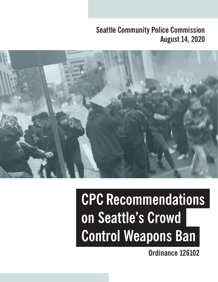## **August 14, 2020 Seattle Community Police Commission**



# **CPC Recommendations on Seattle's Crowd Control Weapons Ban**

**Ordinance 126102**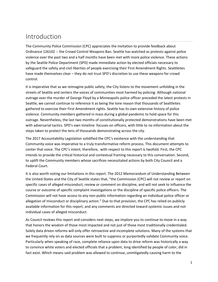### Introduction

The Community Police Commission (CPC) appreciates the invitation to provide feedback about Ordinance 126102 -- the Crowd Control Weapons Ban. Seattle has watched as protests against police violence over the past two and a half months have been met with more police violence. These actions by the Seattle Police Department (SPD) made immediate action by elected officials necessary to safeguard the safety and civil liberties of people exercising their First Amendment Rights. Seattleites have made themselves clear – they do not trust SPD's discretion to use these weapons for crowd control.

It is imperative that as we reimagine public safety, the City listens to the movement unfolding in the streets of Seattle and centers the voices of communities most harmed by policing. Although national outrage over the murder of George Floyd by a Minneapolis police officer preceded the latest protests in Seattle, we cannot continue to reference it as being the lone reason that thousands of Seattleites gathered to exercise their First Amendment rights. Seattle has its own extensive history of police violence. Community members gathered in mass during a global pandemic to hold space for this outrage. Nevertheless, the last two months of constitutionally protected demonstrations have been met with adversarial tactics. SPD's own [timeline](https://spdblotter.seattle.gov/2020/06/01/timeline-of-events-on-may-30th-2020/) focuses on officers, with little to no information about the steps taken to protect the tens of thousands demonstrating across the city.

The 2017 Accountability Legislation solidified the CPC's existence with the understanding that Community voice was imperative to a truly transformative reform process. This document attempts to center that voice. The CPC's intent, therefore, with respect to this report is twofold. First, the CPC intends to provide the critical historical and contextual framing necessary to this conversation. Second, to uplift the Community members whose sacrifices necessitated actions by both City Council and a Federal Court.

It is also worth noting our limitations in this report. The 2012 Memorandum of Understanding Between the United States and the City of Seattle states that, "the Commission (CPC) will not review or report on specific cases of alleged misconduct, review or comment on discipline, and will not seek to influence the course or outcome of specific complaint investigations or the discipline of specific police officers. The Commission will not have access to any non-public information regarding an individual police officer or allegation of misconduct or disciplinary action." Due to that provision, the CPC has relied on publicly available information for this report, and any comments are directed toward systemic issues and not individual cases of alleged misconduct.

As Council reviews this report and considers next steps, we implore you to continue to move in a way that honors the wisdom of those most impacted and not just of those most traditionally credentialed. Solely data driven reforms will only offer retroactive and incomplete solutions. Many of the systems that we frequently rely on as data sources were built to suppress or purportedly validate Community voice. Particularly when speaking of race, complete reliance upon data to drive reform was historically a way to convince white voters and elected officials that a problem, long identified by people of color, did in fact exist. Which means said problem was allowed to continue, unmitigatedly causing harm to the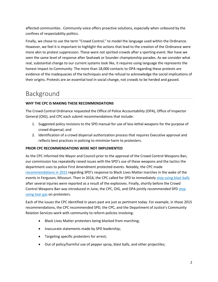affected communities. Community voice offers proactive solutions, especially when unbound by the confines of respectability politics.

Finally, we chose to use the term "Crowd Control," to model the language used within the Ordinance. However, we feel it is important to highlight the actions that lead to the creation of the Ordinance were more akin to protest suppression. These were not spirited crowds after a sporting event. Nor have we seen the same level of response after Seahawk or Sounder championship parades. As we consider what real, substantial change to our current systems look like, it requires using language the represents the honest impact to Community. The more than 18,000 contacts to OPA regarding these protests are evidence of the inadequacies of the techniques and the refusal to acknowledge the social implications of their origins. Protests are an essential tool in social change, not crowds to be herded and gassed.

### Background

### **WHY THE CPC IS MAKING THESE RECOMMENDATIONS**

The Crowd Control Ordinance requested the Office of Police Accountability (OPA), Office of Inspector General (OIG), and CPC each submit recommendations that include:

- 1. Suggested policy revisions to the SPD manual for use of less-lethal weapons for the purpose of crowd dispersal; and
- 2. Identification of a crowd dispersal authorization process that requires Executive approval and reflects best practices in policing to minimize harm to protesters.

### **PRIOR CPC RECOMMENDATIONS WERE NOT IMPLEMENTED**

As the CPC informed the Mayor and Council prior to the approval of the Crowd Control Weapons Ban, our commission has repeatedly raised issues with the SPD's use of these weapons and the tactics the department uses to police First Amendment protected events. Notably, the CPC made [recommendations in](https://seattlecpc.files.wordpress.com/2020/06/final-re-spd-responsetopost-fergusonblacklivesmatterdemonstrations05-19-15.pdf) 2015 regarding SPD's response to Black Lives Matter marches in the wake of the events in Ferguson, Missouri. Then in 2016, the CPC called for SPD to immediately [stop using blast balls](https://seattlecpc.files.wordpress.com/2020/06/final-cpc-letter-to-city-stakeholders-re-blast-balls-6-13-16.pdf) after several injuries were reported as a result of the explosives. Finally, shortly before the Crowd Control Weapons Ban was introduced in June, the CPC, OIG, and OPA jointly recommended SPD [stop](https://seattlecpc.files.wordpress.com/2020/06/accountability-mass-demonstration-memorandum-060520.pdf)  [using tear gas](https://seattlecpc.files.wordpress.com/2020/06/accountability-mass-demonstration-memorandum-060520.pdf) on protesters.

Each of the issues the CPC identified in years past are just as pertinent today. For example, in those 2015 recommendations, the CPC recommended SPD, the CPC, and the Department of Justice's Community Relation Services work with community to reform policies involving:

- Black Lives Matter protesters being blocked from marching;
- Inaccurate statements made by SPD leadership;
- Targeting specific protesters for arrest;
- Out of policy/harmful use of pepper spray, blast balls, and other projectiles;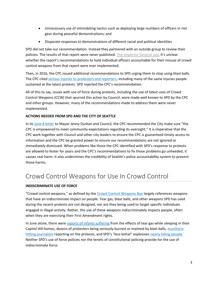- Unnecessary use of intimidating tactics such as deploying large numbers of officers in riot gear during peaceful demonstrations; and
- Disparate responses to demonstrations of different racial and political identities

SPD did not take our recommendation. Instead they partnered with an outside group to review their policies. The results of that report were never published. [The Inspector General says](https://www.kuow.org/stories/unanswered-letters-buried-reports-critics-say-spd-response-on-crowd-control-is-overdue) it's unclear whether the report's recommendations to hold individual officers accountable for their misuse of crowd control weapons from that report were ever implemented.

Then, in 2016, the CPC issued additional recommendations to SPD urging them to stop using blast balls. The CPC cite[d serious injuries to protesters and reporters,](https://crosscut.com/2016/06/commission-seattle-police-suspend-use-of-blast-balls) including many of the same injuries people sustained at the latest protests. SPD rejected the CPC's recommendation.

All of this to say, issues with use of force during protests, including the use of latest uses of Crowd Control Weapons (CCW) that spurred this action by Council, were made well known to SPD by the CPC and other groups. However, many of the recommendations made to address them were never implemented.

### **ACTIONS NEEDED FROM SPD AND THE CITY OF SEATTLE**

In its June [8 letter](http://perspectives.seattle.gov/seattle-cpc-outlines-next-steps-the-city-must-take-to-address-police-accountability/) to Mayor Jenny Durkan and Council, the CPC recommended the City make sure "the CPC is empowered to meet community expectations regarding its oversight." It is imperative that the CPC work together with Council and other city leaders to ensure the CPC is guaranteed timely access to information and the CPC be granted power to ensure our recommendations are not ignored or immediately dismissed. When problems like those the CPC identified with SPD's response to protests are allowed to fester for years and the CPC's recommendations to fix those problems go unheeded, it causes real harm. It also undermines the credibility of Seattle's police accountability system to prevent those harms.

### Crowd Control Weapons for Use In Crowd Control

### **INDISCRIMINATE USE OF FORCE**

"Crowd control weapons," as defined by the [Crowd Control Weapons Ban](https://seattle.legistar.com/View.ashx?M=F&ID=8656981&GUID=8C1C2C66-AB23-4984-A059-CF0E6D1D9DCB) largely references weapons that have an indiscriminate impact on people. Tear gas, blast balls, and other weapons SPD has used during the recent protests are not designed, nor are they being used to target specific individuals engaged in illegal activity. Rather, the use of these weapons indiscriminately impacts people, often when they are exercising their First Amendment rights.

In June alone, there were [reports of infants](https://www.thestranger.com/slog/2020/06/04/43840246/seattle-residents-got-tear-gassed-in-their-own-apartments) suffering from the effects of tear gas while sleeping in their Capitol Hill homes, dozens of protesters being seriously burned or maimed by blast balls, [munitions](https://www.aclu-wa.org/docs/motion-temporary-restraining-order-1)  [hitting journalists](https://www.aclu-wa.org/docs/motion-temporary-restraining-order-1) reporting on the protests, and SPD's "less-lethal" explosives [nearly killing people.](https://www.kuow.org/stories/this-26-year-old-died-three-times-after-police-hit-her-with-a-blast-ball) Neither SPD's use of force policies nor the tenets of constitutional policing provide for the use of indiscriminate force.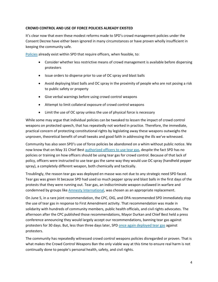### **CROWD CONTROL AND USE OF FORCE POLICIES ALREADY EXISTED**

It's clear now that even these modest reforms made to SPD's crowd management policies under the Consent Decree have either been ignored in many circumstances or have proven wholly insufficient in keeping the community safe.

[Policies](https://www.seattle.gov/police-manual/title-14---emergency-operations/14090---crowd-management) already exist within SPD that require officers, when feasible, to:

- Consider whether less restrictive means of crowd management is available before dispersing protesters
- Issue orders to disperse prior to use of OC spray and blast balls
- Avoid deploying blast balls and OC spray in the proximity of people who are not posing a risk to public safety or property
- Give verbal warnings before using crowd control weapons
- Attempt to limit collateral exposure of crowd control weapons
- Limit the use of OC spray unless the use of physical force is necessary

While some may argue that individual policies can be tweaked to lessen the impact of crowd control weapons on protected speech, that has repeatedly not worked in practice. Therefore, the immediate, practical concern of protecting constitutional rights by legislating away these weapons outweighs the unproven, theoretical benefit of small tweaks and good faith in addressing the ills we've witnessed.

Community has also seen SPD's use of force policies be abandoned on a whim without public notice. We now know that on May 31 Chief Best [authorized officers to use tear gas,](https://sccinsight.com/2020/06/07/spd-chief-best-authorized-non-swat-officers-to-use-tear-gas-on-may-31/) despite the fact SPD has no policies or training on how officers should be using tear gas for crowd control. Because of that lack of policy, officers were instructed to use tear gas the same way they would use OC spray (handheld pepper spray), a completely different weapon, both chemically and tactically.

Troublingly, the reason tear gas was deployed en masse was not due to any strategic need SPD faced. Tear gas was green lit because SPD had used so much pepper spray and blast balls in the first days of the protests that they were running out. Tear gas, an indiscriminate weapon outlawed in warfare and condemned by groups like [Amnesty International,](https://www.amnesty.org/en/latest/news/2020/06/end-the-abuse-of-tear-gas-for-the-sake-of-peaceful-protesters-in-hong-kong-the-usa-and-everywhere-else/) was chosen as an appropriate replacement.

On June 5, in a rare joint recommendation, the CPC, OIG, and OPA recommended SPD immediately stop the use of tear gas in response to First Amendment activity. That recommendation was made in solidarity with hundreds of community members, public health officials, and civil rights advocates. The afternoon after the CPC published those recommendations, Mayor Durkan and Chief Best held a press conference announcing they would largely accept our recommendations, banning tear gas against protesters for 30 days. But, less than three days later, SP[D once again deployed tear gas](https://www.forbes.com/sites/jemimamcevoy/2020/06/08/seattle-police-use-tear-gas-against-protestors-despite-city-ban/#cf4dc5d5b4bc) against protesters.

The community has repeatedly witnessed crowd control weapons policies disregarded or proven. That is what makes the Crowd Control Weapons Ban the only viable way at this time to ensure real harm is not continually done to people's personal health, safety, and civil rights.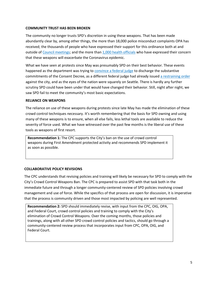#### **COMMUNITY TRUST HAS BEEN BROKEN**

The community no longer trusts SPD's discretion in using these weapons. That has been made abundantly clear by, among other things, the more than 18,000 police misconduct complaints OPA has received; the thousands of people who have expressed their support for this ordinance both at and outside o[f Council meetings;](http://seattlechannel.org/FullCouncil/?videoid=x114748) and the more tha[n 1,000 health officials](https://www.seattletimes.com/seattle-news/health/public-health-officials-worry-tear-gas-pepper-spray-could-contribute-to-coronavirus-spread-as-seattle-protests-continue/) who have expressed their concern that these weapons will exacerbate the Coronavirus epidemic.

What we have seen at protests since May was presumably SPD on their best behavior. These events happened as the department was trying t[o convince a federal judge](https://www.seattletimes.com/seattle-news/politics/seattle-department-of-justice-ask-judge-to-release-police-from-remaining-consent-decree-oversight/) to discharge the substantive commitments of the Consent Decree, as a different federal judge had already issue[d a restraining order](https://www.aclu-wa.org/docs/order-granting-temporary-restraining-order) against the city, and as the eyes of the nation were squarely on Seattle. There is hardly any further scrutiny SPD could have been under that would have changed their behavior. Still, night after night, we saw SPD fail to meet the community's most basic expectations.

#### **RELIANCE ON WEAPONS**

The reliance on use of these weapons during protests since late May has made the elimination of these crowd control techniques necessary. It's worth remembering that the basis for SPD owning and using many of these weapons is to ensure, when all else fails, less lethal tools are available to reduce the severity of force used. What we have witnessed over the past few months is the liberal use of these tools as weapons of first resort.

**Recommendation 1:** The CPC supports the City's ban on the use of crowd control weapons during First Amendment protected activity and recommends SPD implement it as soon as possible.

#### **COLLABORATIVE POLICY REVISIONS**

The CPC understands that revising policies and training will likely be necessary for SPD to comply with the City's Crowd Control Weapons Ban. The CPC is prepared to assist SPD with that task both in the immediate future and through a longer community-centered review of SPD policies involving crowd management and use of force. While the specifics of that process are open for discussion, it is imperative that the process is community driven and those most impacted by policing are well represented.

**Recommendation 2:** SPD should immediately revise, with input from the CPC, OIG, OPA, and Federal Court, crowd control policies and training to comply with the City's elimination of Crowd Control Weapons. Over the coming months, those policies and trainings, along with all other SPD crowd control policies and tactics, should go through a community-centered review process that incorporates input from CPC, OPA, OIG, and Federal Court.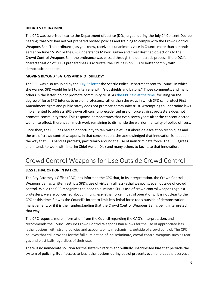#### **UPDATES TO TRAINING**

The CPC was surprised hear to the Department of Justice (DOJ) argue, during the July 24 Consent Decree hearing, that SPD had not yet prepared revised policies and training to comply with the Crowd Control Weapons Ban. That ordinance, as you know, received a unanimous vote in Council more than a month earlier on June 15. While the CPC understands Mayor Durkan and Chief Best had objections to the Crowd Control Weapons Ban, the ordinance was passed through the democratic process. If the DOJ's characterization of SPD's preparedness is accurate, the CPC calls on SPD to better comply with democratic mandates.

#### **MOVING BEYOND "BATONS AND RIOT SHIELDS"**

The CPC was also troubled by the [July 23 letter](https://spdblotter.seattle.gov/2020/07/23/letter-to-city-council-regarding-council-ordinance-119805-crowd-control-tools-%ef%bb%bf/) the Seattle Police Department sent to Council in which she warned SPD would be left to intervene with "riot shields and batons." Those comments, and many others in the letter, do not promote community trust. As [the CPC said at the time,](http://perspectives.seattle.gov/cpc-statement-on-weekend-protests-and-implementation-of-crowd-control-weapon-ban/) focusing on the degree of force SPD intends to use on protesters, rather than the ways in which SPD can protect First Amendment rights and public safety does not promote community trust. Attempting to undermine laws implemented to address SPD's own officers' unprecedented use of force against protesters does not promote community trust. This response demonstrates that even seven years after the consent decree went into effect, there is still much work remaining to dismantle the warrior mentality of police officers.

Since then, the CPC has had an opportunity to talk with Chief Best about de-escalation techniques and the use of crowd control weapons. In that conversation, she acknowledged that innovation is needed in the way that SPD handles protests, particularly around the use of indiscriminate force. The CPC agrees and intends to work with interim Chief Adrian Diaz and many others to facilitate that innovation.

### Crowd Control Weapons for Use Outside Crowd Control

### **LESS LETHAL OPTION IN PATROL**

The City Attorney's Office (CAO) has informed the CPC that, in its interpretation, the Crowd Control Weapons ban as written restricts SPD's use of virtually all less-lethal weapons, even outside of crowd control. While the CPC recognizes the need to eliminate SPD's use of crowd control weapons against protesters, we are concerned about limiting less-lethal force in patrol operations. It is not clear to the CPC at this time if it was the Council's intent to limit less-lethal force tools outside of demonstration management, or if it is their understanding that the Crowd Control Weapons Ban is being interpreted that way.

The CPC requests more information from the Council regarding the CAO's interpretation, and recommends the Council ensure Crowd Control Weapons Ban allows for the use of appropriate less lethal options, with strong policies and accountability mechanisms, outside of crowd control. The CPC believes that still provides for the full elimination of indiscriminate, crowd control weapons such as tear gas and blast balls regardless of their use.

There is no immediate solution for the systemic racism and willfully unaddressed bias that pervade the system of policing. But if access to less lethal options during patrol prevents even one death, it serves an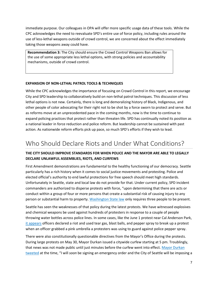immediate purpose. Our colleagues in OPA will offer more specific usage data of these tools. While the CPC acknowledges the need to reevaluate SPD's entire use of force policy, including rules around the use of less-lethal weapons outside of crowd control, we are concerned about the effect immediately taking those weapons away could have.

**Recommendation 3:** The City should ensure the Crowd Control Weapons Ban allows for the use of some appropriate less lethal options, with strong policies and accountability mechanisms, outside of crowd control.

#### **EXPANSION OF NON-LETHAL PATROL TOOLS & TECHNIQUES**

While the CPC acknowledges the importance of focusing on Crowd Control in this report, we encourage City and SPD leadership to collaboratively build on non-lethal patrol techniques. This discussion of less lethal options is not new. Certainly, there is long and demoralizing history of Black, Indigenous, and other people of color advocating for their right not to be shot by a force sworn to protect and serve. But as reforms move at an unprecedented pace in the coming months, now is the time to continue to expand policing practices that protect rather than threaten life. SPD has continually noted its position as a national leader in force reduction and police reform. But leadership cannot be sustained with past action. As nationwide reform efforts pick up pace, so much SPD's efforts if they wish to lead.

### Who Should Declare Riots and Under What Conditions?

### **THE CITY SHOULD IMPROVE STANDARDS FOR WHEN POLICE AND THE MAYOR ARE ABLE TO LEGALLY DECLARE UNLAWFUL ASSEMBLIES, RIOTS, AND CURFEWS**

First Amendment demonstrations are fundamental to the healthy functioning of our democracy. Seattle particularly has a rich history when it comes to social justice movements and protesting. Police and elected official's authority to end lawful protections for free speech should meet high standards. Unfortunately in Seattle, state and local law do not provide for that. Under current policy, SPD incident commanders are authorized to disperse protests with force, "upon determining that there are acts or conduct within a group of four or more persons that create a substantial risk of causing injury to any person or substantial harm to property. [Washington State law](https://app.leg.wa.gov/rcw/default.aspx?cite=9A.84.020) only requires three people to be present.

Seattle has seen the weaknesses of that policy during the latest protests. We have witnessed explosives and chemical weapons be used against hundreds of protesters in response to a couple of people throwing water bottles across police lines. In some cases, like the June 1 protest near Cal Anderson Park, [it appears](https://www.nytimes.com/interactive/2020/06/26/opinion/blm-protests-police-violence.html?referringSource=articleShare&utm_source=The+Marshall+Project+Newsletter&utm_campaign=8a946bbbf2-EMAIL_CAMPAIGN_2020_06_29_11_36&utm_medium=email&utm_term=0_5e02cdad9d-8a946bbbf2-174409269) officers declared a riot and used tear gas, blast balls, and pepper spray to break up a protest when an officer grabbed a pink umbrella a protesters was using to guard against police pepper spray.

There were also constitutionally questionable directives from the Mayor's Office during the protests. During large protests on May 30, Mayor Durkan issued a citywide curfew starting at 5 pm. Troublingly, that news was not made public until just minutes before the curfew went into effect. [Mayor Durkan](https://twitter.com/MayorJenny/status/1266878611669151744) [tweeted](https://twitter.com/MayorJenny/status/1266878611669151744) at the time, "I will *soon* be signing an emergency order and the City of Seattle will be imposing a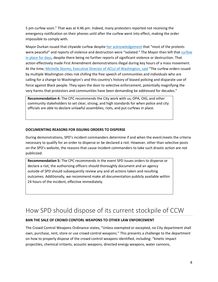5 pm curfew soon." That was at 4:46 pm. Indeed, many protesters reported not receiving the emergency notification on their phones until after the curfew went into effect, making the order impossible to comply with.

Mayor Durkan issued that citywide curfew despite [her acknowledgement](https://durkan.seattle.gov/2020/05/mayor-durkan-announces-curfew-on-saturday-and-sunday-to-protect-health-and-safety-of-residents/) that "most of the protests were peaceful" and reports of violence and destruction were "isolated." The Mayor then left tha[t curfew](https://durkan.seattle.gov/2020/06/mayor-durkan-will-be-terminating-citywide-curfew-effective-immediately/)  [in place for days,](https://durkan.seattle.gov/2020/06/mayor-durkan-will-be-terminating-citywide-curfew-effective-immediately/) despite there being no further reports of significant violence or destruction. That action effectively made First Amendment demonstrations illegal during key hours of a mass movement. At the time[, Michelle Storms, Executive Director of ACLU of Washington, said](https://www.aclu-wa.org/news/aclu-washington-statement-curfew-orders-washington-cities) "The curfew orders issued by multiple Washington cities risk chilling the free speech of communities and individuals who are calling for a change to Washington's and this country's history of biased policing and disparate use of force against Black people. They open the door to selective enforcement, potentially magnifying the very harms that protestors and communities have been demanding be addressed for decades."

**Recommendation 4:** The CPC recommends the City work with us, OPA, OIG, and other community stakeholders to set clear, strong, and high standards for when police and city officials are able to declare unlawful assemblies, riots, and put curfews in place.

#### **DOCUMENTING REASONS FOR ISSUING ORDERS TO DISPERSE**

During demonstrations, SPD's incident commanders determine if and when the event meets the criteria necessary to qualify for an order to disperse or be declared a riot. However, other than selective posts on the SPD's website, the reasons that cause incident commanders to take such drastic action are not publicized.

**Recommendation 5:** The CPC recommends in the event SPD issues orders to disperse or declare a riot, the authorizing officers should thoroughly document and an agency outside of SPD should subsequently review any and all actions taken and resulting outcomes. Additionally, we recommend make all documentation publicly available within 24 hours of the incident, effective immediately.

### How SPD should dispose of its current stockpile of CCW

### **BAN THE SALE OF CROWD CONTORL WEAPONS TO OTHER LAW ENFORCEMENT**

The Crowd Control Weapons Ordinance states, "Unless exempted or excepted, no City department shall own, purchase, rent, store or use crowd control weapons." This presents a challenge to the department on how to properly dispose of the crowd control weapons identified, including: "kinetic impact projectiles, chemical irritants, acoustic weapons, directed energy weapons, water cannons,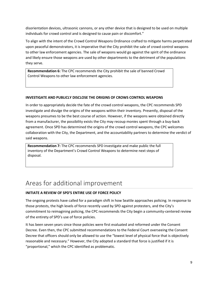disorientation devices, ultrasonic cannons, or any other device that is designed to be used on multiple individuals for crowd control and is designed to cause pain or discomfort."

To align with the intent of the Crowd Control Weapons Ordinance crafted to mitigate harms perpetrated upon peaceful demonstrators, it is imperative that the City prohibit the sale of crowd control weapons to other law enforcement agencies. The sale of weapons would go against the spirit of the ordinance and likely ensure those weapons are used by other departments to the detriment of the populations they serve.

**Recommendation 6:** The CPC recommends the City prohibit the sale of banned Crowd Control Weapons to other law enforcement agencies.

### **INVESTIGATE AND PUBLICLY DISCLOSE THE ORIGINS OF CROWS CONTROL WEAPONS**

In order to appropriately decide the fate of the crowd control weapons, the CPC recommends SPD investigate and divulge the origins of the weapons within their inventory. Presently, disposal of the weapons presumes to be the best course of action. However, if the weapons were obtained directly from a manufacturer, the possibility exists the City may recoup monies spent through a buy-back agreement. Once SPD has determined the origins of the crowd control weapons, the CPC welcomes collaboration with the City, the Department, and the accountability partners to determine the verdict of said weapons.

**Recommendation 7:** The CPC recommends SPD investigate and make public the full inventory of the Department's Crowd Control Weapons to determine next steps of disposal.

### Areas for additional improvement

### **INITIATE A REVIEW OF SPD'S ENTIRE USE OF FORCE POLICY**

The ongoing protests have called for a paradigm shift in how Seattle approaches policing. In response to those protests, the high levels of force recently used by SPD against protesters, and the City's commitment to reimagining policing, the CPC recommends the City begin a community-centered review of the entirety of SPD's use of force policies.

It has been seven years since those policies were first evaluated and reformed under the Consent Decree. Even then, the CPC submitted recommendations to the Federal Court overseeing the Consent Decree that officers should only be allowed to use the "lowest level of physical force that is objectively reasonable and necessary." However, the City adopted a standard that force is justified if it is "proportional," which the CPC identified as problematic.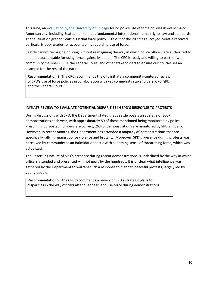This June, an [evaluation by the University of Chicago](https://www.law.uchicago.edu/news/new-ihrc-report-largest-us-cities-police-use-force-policies-fail-meet-human-rights-standards) found police use of force policies in every major American city, including Seattle, fail to meet fundamental international human rights law and standards. That evaluation graded Seattle's lethal force policy 11th out of the 20 cities surveyed. Seattle received particularly poor grades for accountability regarding use of force.

Seattle cannot reimagine policing without reimagining the way in which police officers are authorized to and held accountable for using force against its people. The CPC is ready and willing to partner with community members, SPD, the Federal Court, and other stakeholders to ensure our policies set an example for the rest of the nation.

**Recommendation 8:** The CPC recommends the City initiate a community-centered review of SPD's use of force policies in collaboration with key community stakeholders, CPC, SPD, and the Federal Court.

#### **INITIATE REVIEW TO EVALUATE POTENTIAL DISPARITIES IN SPD'S RESPONSE TO PROTESTS**

During discussions with SPD, the Department stated that Seattle boasts an average of 300+ demonstrations each year, with approximately 80 of those mentioned being monitored by police. Presuming purported numbers are correct, 26% of demonstrations are monitored by SPD annually. However, in recent months, the Department has attended a majority of demonstrations that are specifically rallying against police violence and brutality. Moreover, SPD's presence during protests was perceived by community as an intimidation tactic with a looming sense of threatening force, which was actualized.

The unsettling nature of SPD's presence during recent demonstrations is underlined by the way in which officers attended and presented – in riot gear, by the hundreds. It is unclear what intelligence was gathered by the Department to warrant such a response to planned peaceful protests, largely led by young people.

**Recommendation 9:** The CPC recommends a review of SPD's strategic plans for disparities in the way officers attend, appear, and use force during demonstrations.